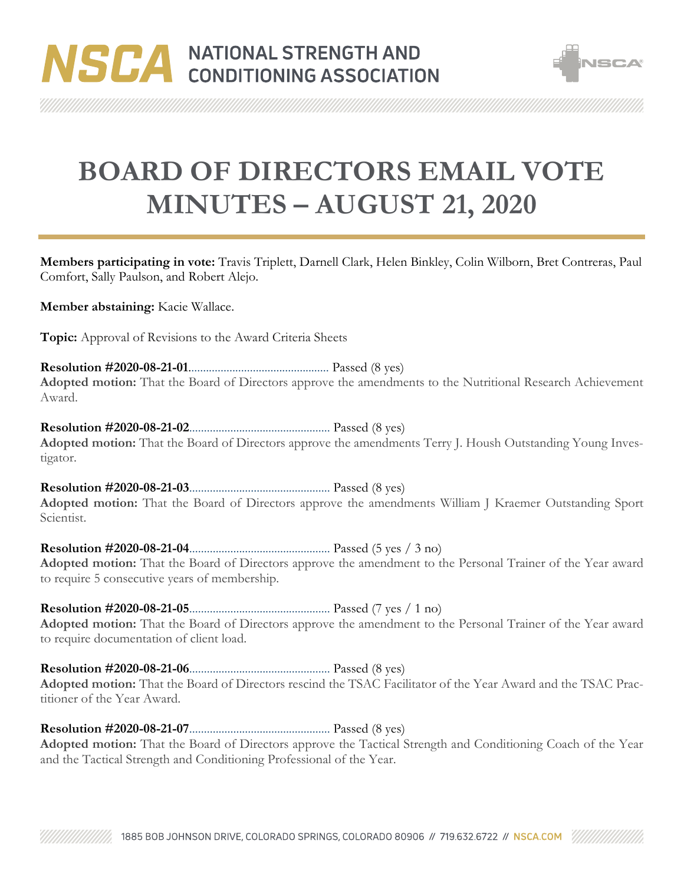

**BOARD OF DIRECTORS EMAIL VOTE MINUTES – AUGUST 21, 2020**

**Members participating in vote:** Travis Triplett, Darnell Clark, Helen Binkley, Colin Wilborn, Bret Contreras, Paul Comfort, Sally Paulson, and Robert Alejo.

**Member abstaining:** Kacie Wallace.

**Topic:** Approval of Revisions to the Award Criteria Sheets

**Resolution #2020-08-21-01**................................................ Passed (8 yes) **Adopted motion:** That the Board of Directors approve the amendments to the Nutritional Research Achievement Award.

**Resolution #2020-08-21-02**................................................ Passed (8 yes) **Adopted motion:** That the Board of Directors approve the amendments Terry J. Housh Outstanding Young Investigator.

**Resolution #2020-08-21-03**................................................ Passed (8 yes) **Adopted motion:** That the Board of Directors approve the amendments William J Kraemer Outstanding Sport Scientist.

**Resolution #2020-08-21-04**................................................ Passed (5 yes / 3 no) **Adopted motion:** That the Board of Directors approve the amendment to the Personal Trainer of the Year award to require 5 consecutive years of membership.

**Resolution #2020-08-21-05**................................................ Passed (7 yes / 1 no) **Adopted motion:** That the Board of Directors approve the amendment to the Personal Trainer of the Year award to require documentation of client load.

**Resolution #2020-08-21-06**................................................ Passed (8 yes) **Adopted motion:** That the Board of Directors rescind the TSAC Facilitator of the Year Award and the TSAC Practitioner of the Year Award.

**Resolution #2020-08-21-07**................................................ Passed (8 yes)

**Adopted motion:** That the Board of Directors approve the Tactical Strength and Conditioning Coach of the Year and the Tactical Strength and Conditioning Professional of the Year.